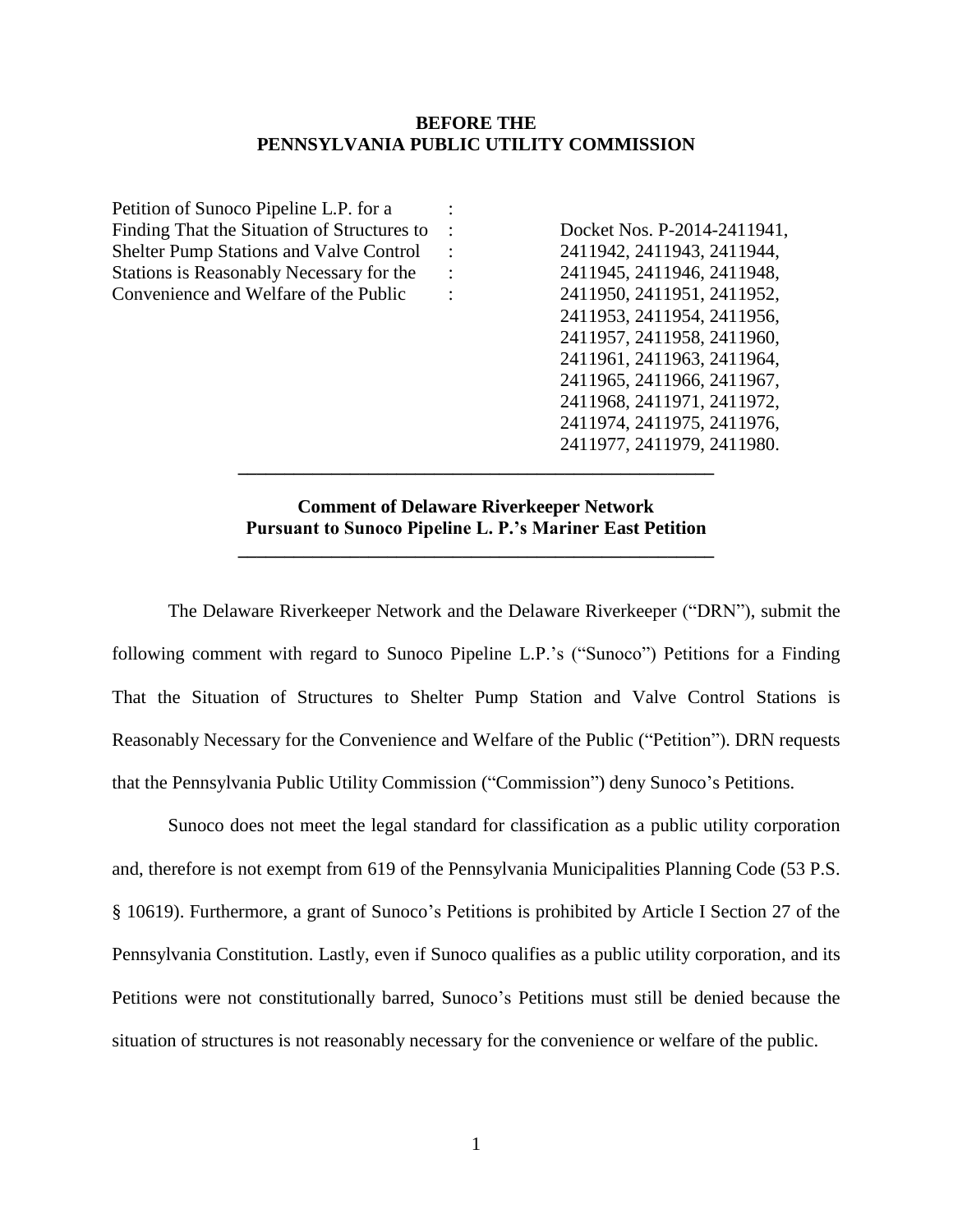### **BEFORE THE PENNSYLVANIA PUBLIC UTILITY COMMISSION**

| Petition of Sunoco Pipeline L.P. for a         |                             |
|------------------------------------------------|-----------------------------|
| Finding That the Situation of Structures to    | Docket Nos. P-2014-2411941, |
| <b>Shelter Pump Stations and Valve Control</b> | 2411942, 2411943, 2411944,  |
| Stations is Reasonably Necessary for the       | 2411945, 2411946, 2411948,  |
| Convenience and Welfare of the Public          | 2411950, 2411951, 2411952,  |
|                                                | 2411953, 2411954, 2411956,  |
|                                                | 2411957, 2411958, 2411960,  |
|                                                | 2411961, 2411963, 2411964,  |
|                                                | 2411965, 2411966, 2411967,  |
|                                                | 2411968, 2411971, 2411972,  |
|                                                | 2411974, 2411975, 2411976,  |
|                                                | 2411977, 2411979, 2411980.  |
|                                                |                             |
|                                                |                             |
|                                                |                             |

## **Comment of Delaware Riverkeeper Network Pursuant to Sunoco Pipeline L. P.'s Mariner East Petition**

**\_\_\_\_\_\_\_\_\_\_\_\_\_\_\_\_\_\_\_\_\_\_\_\_\_\_\_\_\_\_\_\_\_\_\_\_\_\_\_\_\_\_\_\_\_\_\_\_\_\_\_**

The Delaware Riverkeeper Network and the Delaware Riverkeeper ("DRN"), submit the following comment with regard to Sunoco Pipeline L.P.'s ("Sunoco") Petitions for a Finding That the Situation of Structures to Shelter Pump Station and Valve Control Stations is Reasonably Necessary for the Convenience and Welfare of the Public ("Petition"). DRN requests that the Pennsylvania Public Utility Commission ("Commission") deny Sunoco's Petitions.

Sunoco does not meet the legal standard for classification as a public utility corporation and, therefore is not exempt from 619 of the Pennsylvania Municipalities Planning Code (53 P.S. § 10619). Furthermore, a grant of Sunoco's Petitions is prohibited by Article I Section 27 of the Pennsylvania Constitution. Lastly, even if Sunoco qualifies as a public utility corporation, and its Petitions were not constitutionally barred, Sunoco's Petitions must still be denied because the situation of structures is not reasonably necessary for the convenience or welfare of the public.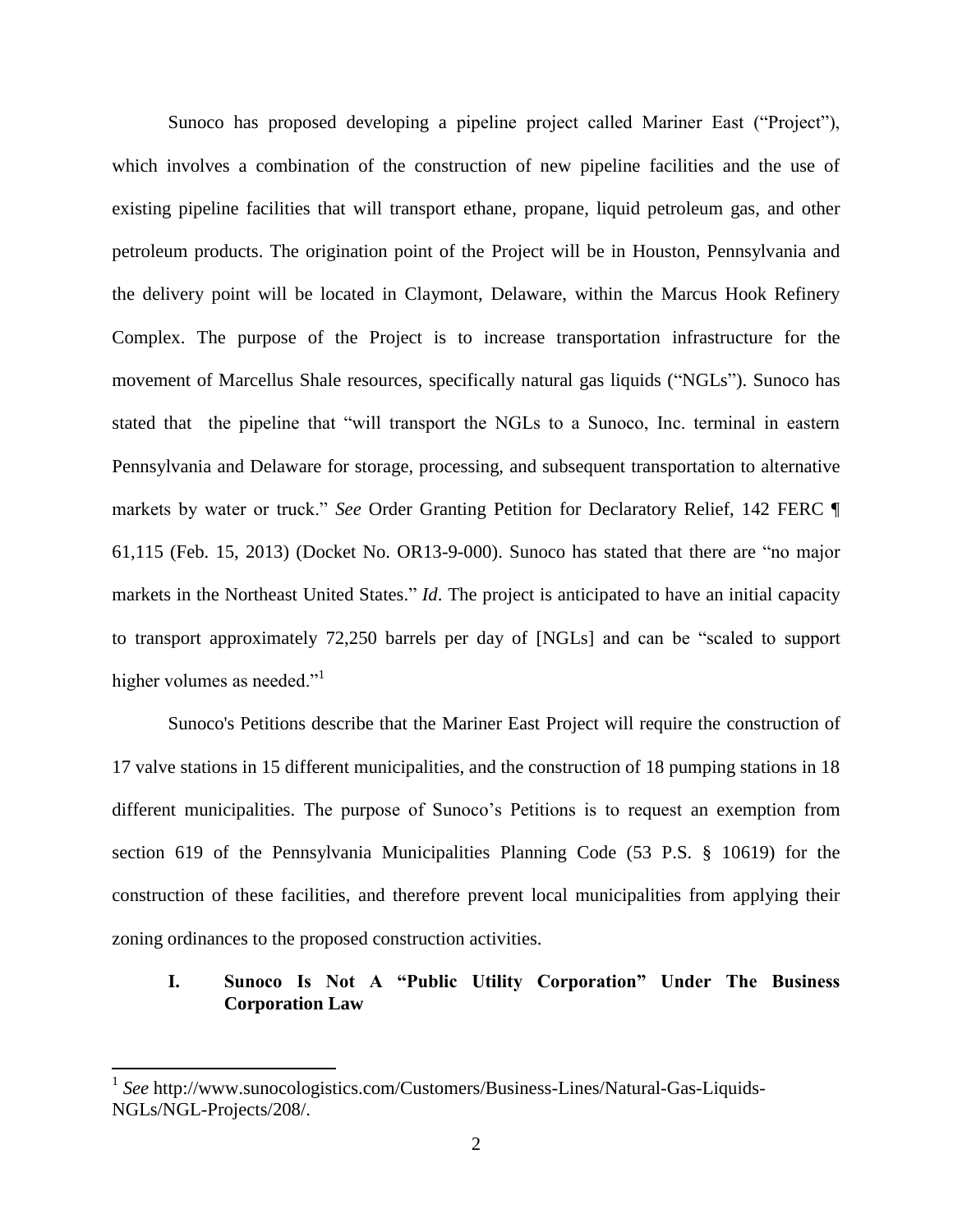Sunoco has proposed developing a pipeline project called Mariner East ("Project"), which involves a combination of the construction of new pipeline facilities and the use of existing pipeline facilities that will transport ethane, propane, liquid petroleum gas, and other petroleum products. The origination point of the Project will be in Houston, Pennsylvania and the delivery point will be located in Claymont, Delaware, within the Marcus Hook Refinery Complex. The purpose of the Project is to increase transportation infrastructure for the movement of Marcellus Shale resources, specifically natural gas liquids ("NGLs"). Sunoco has stated that the pipeline that "will transport the NGLs to a Sunoco, Inc. terminal in eastern Pennsylvania and Delaware for storage, processing, and subsequent transportation to alternative markets by water or truck." *See* Order Granting Petition for Declaratory Relief, 142 FERC ¶ 61,115 (Feb. 15, 2013) (Docket No. OR13-9-000). Sunoco has stated that there are "no major markets in the Northeast United States." *Id*. The project is anticipated to have an initial capacity to transport approximately 72,250 barrels per day of [NGLs] and can be "scaled to support higher volumes as needed."

Sunoco's Petitions describe that the Mariner East Project will require the construction of 17 valve stations in 15 different municipalities, and the construction of 18 pumping stations in 18 different municipalities. The purpose of Sunoco's Petitions is to request an exemption from section 619 of the Pennsylvania Municipalities Planning Code (53 P.S. § 10619) for the construction of these facilities, and therefore prevent local municipalities from applying their zoning ordinances to the proposed construction activities.

# **I. Sunoco Is Not A "Public Utility Corporation" Under The Business Corporation Law**

 $\overline{\phantom{a}}$ 

<sup>1</sup> *See* http://www.sunocologistics.com/Customers/Business-Lines/Natural-Gas-Liquids-NGLs/NGL-Projects/208/.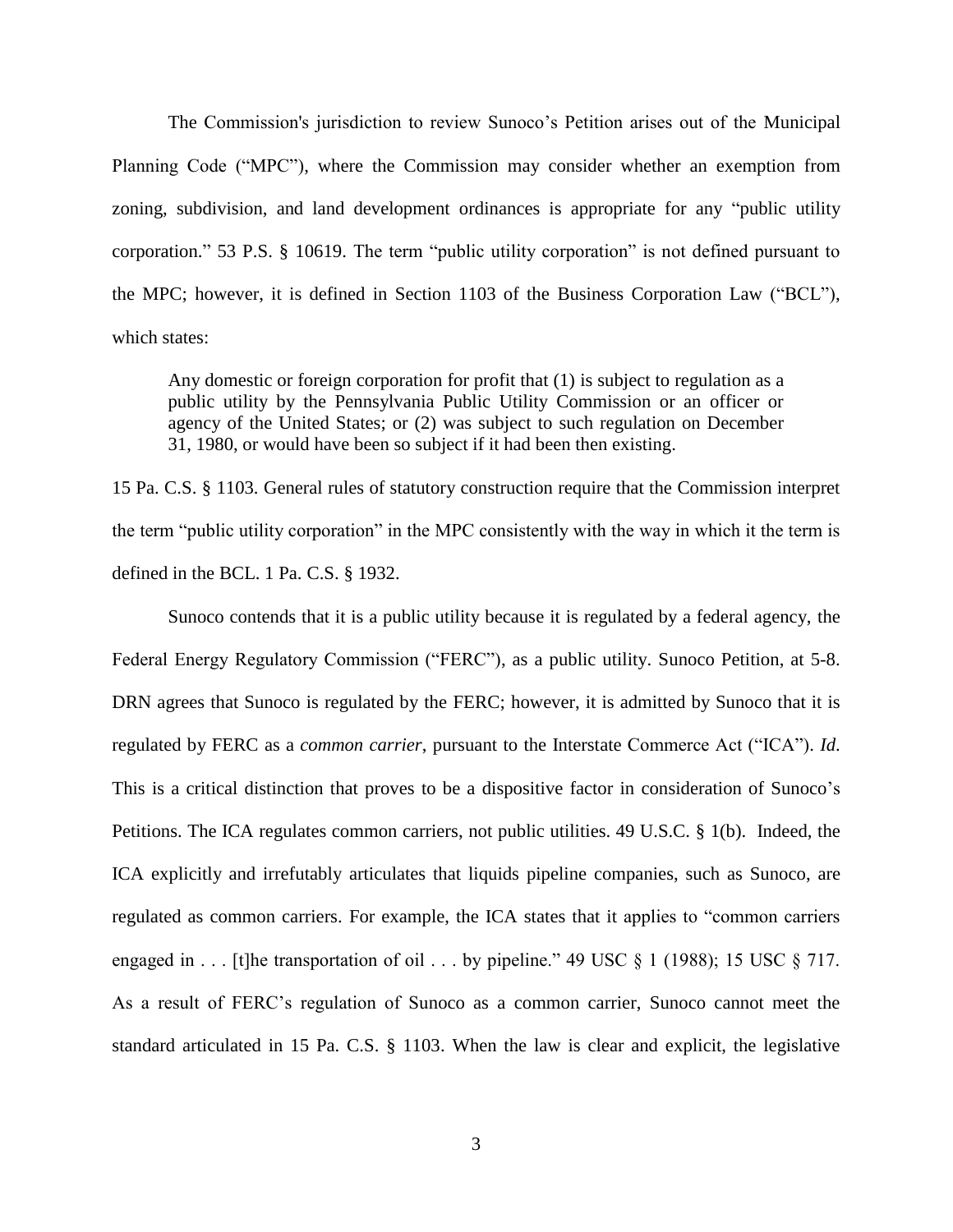The Commission's jurisdiction to review Sunoco's Petition arises out of the Municipal Planning Code ("MPC"), where the Commission may consider whether an exemption from zoning, subdivision, and land development ordinances is appropriate for any "public utility corporation." 53 P.S. § 10619. The term "public utility corporation" is not defined pursuant to the MPC; however, it is defined in Section 1103 of the Business Corporation Law ("BCL"), which states:

Any domestic or foreign corporation for profit that (1) is subject to regulation as a public utility by the Pennsylvania Public Utility Commission or an officer or agency of the United States; or (2) was subject to such regulation on December 31, 1980, or would have been so subject if it had been then existing.

15 Pa. C.S. § 1103. General rules of statutory construction require that the Commission interpret the term "public utility corporation" in the MPC consistently with the way in which it the term is defined in the BCL. 1 Pa. C.S. § 1932.

Sunoco contends that it is a public utility because it is regulated by a federal agency, the Federal Energy Regulatory Commission ("FERC"), as a public utility. Sunoco Petition, at 5-8. DRN agrees that Sunoco is regulated by the FERC; however, it is admitted by Sunoco that it is regulated by FERC as a *common carrier*, pursuant to the Interstate Commerce Act ("ICA"). *Id*. This is a critical distinction that proves to be a dispositive factor in consideration of Sunoco's Petitions. The ICA regulates common carriers, not public utilities. 49 U.S.C. § 1(b). Indeed, the ICA explicitly and irrefutably articulates that liquids pipeline companies, such as Sunoco, are regulated as common carriers. For example, the ICA states that it applies to "common carriers engaged in . . . [t]he transportation of oil . . . by pipeline." 49 USC  $\S$  1 (1988); 15 USC  $\S$  717. As a result of FERC's regulation of Sunoco as a common carrier, Sunoco cannot meet the standard articulated in 15 Pa. C.S. § 1103. When the law is clear and explicit, the legislative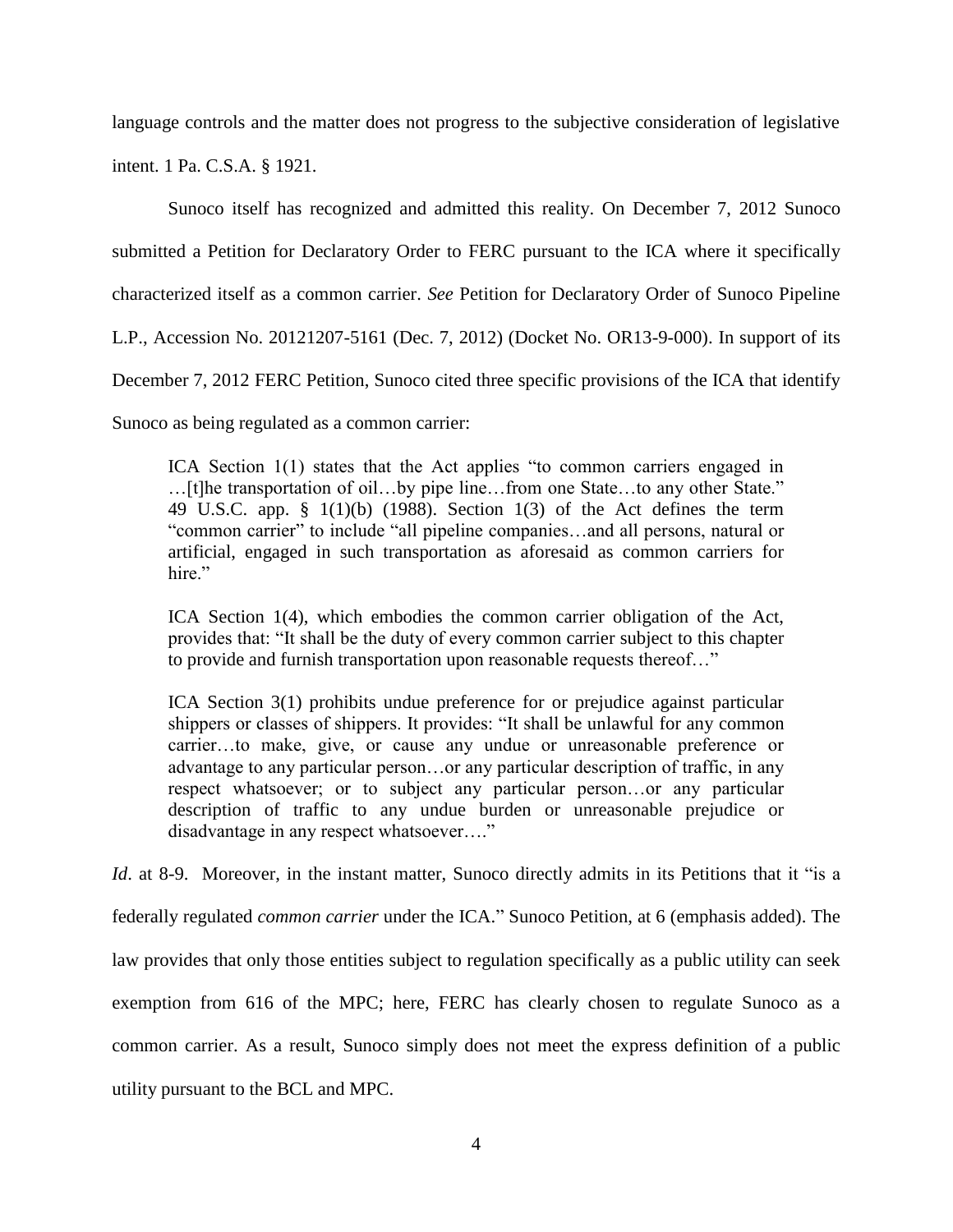language controls and the matter does not progress to the subjective consideration of legislative

intent. 1 Pa. C.S.A. § 1921.

Sunoco itself has recognized and admitted this reality. On December 7, 2012 Sunoco submitted a Petition for Declaratory Order to FERC pursuant to the ICA where it specifically characterized itself as a common carrier. *See* Petition for Declaratory Order of Sunoco Pipeline L.P., Accession No. 20121207-5161 (Dec. 7, 2012) (Docket No. OR13-9-000). In support of its December 7, 2012 FERC Petition, Sunoco cited three specific provisions of the ICA that identify Sunoco as being regulated as a common carrier:

ICA Section 1(1) states that the Act applies "to common carriers engaged in …[t]he transportation of oil…by pipe line…from one State…to any other State." 49 U.S.C. app. § 1(1)(b) (1988). Section 1(3) of the Act defines the term "common carrier" to include "all pipeline companies…and all persons, natural or artificial, engaged in such transportation as aforesaid as common carriers for hire."

ICA Section 1(4), which embodies the common carrier obligation of the Act, provides that: "It shall be the duty of every common carrier subject to this chapter to provide and furnish transportation upon reasonable requests thereof…"

ICA Section 3(1) prohibits undue preference for or prejudice against particular shippers or classes of shippers. It provides: "It shall be unlawful for any common carrier…to make, give, or cause any undue or unreasonable preference or advantage to any particular person…or any particular description of traffic, in any respect whatsoever; or to subject any particular person…or any particular description of traffic to any undue burden or unreasonable prejudice or disadvantage in any respect whatsoever…."

*Id.* at 8-9. Moreover, in the instant matter, Sunoco directly admits in its Petitions that it "is a federally regulated *common carrier* under the ICA." Sunoco Petition, at 6 (emphasis added). The law provides that only those entities subject to regulation specifically as a public utility can seek exemption from 616 of the MPC; here, FERC has clearly chosen to regulate Sunoco as a common carrier. As a result, Sunoco simply does not meet the express definition of a public utility pursuant to the BCL and MPC.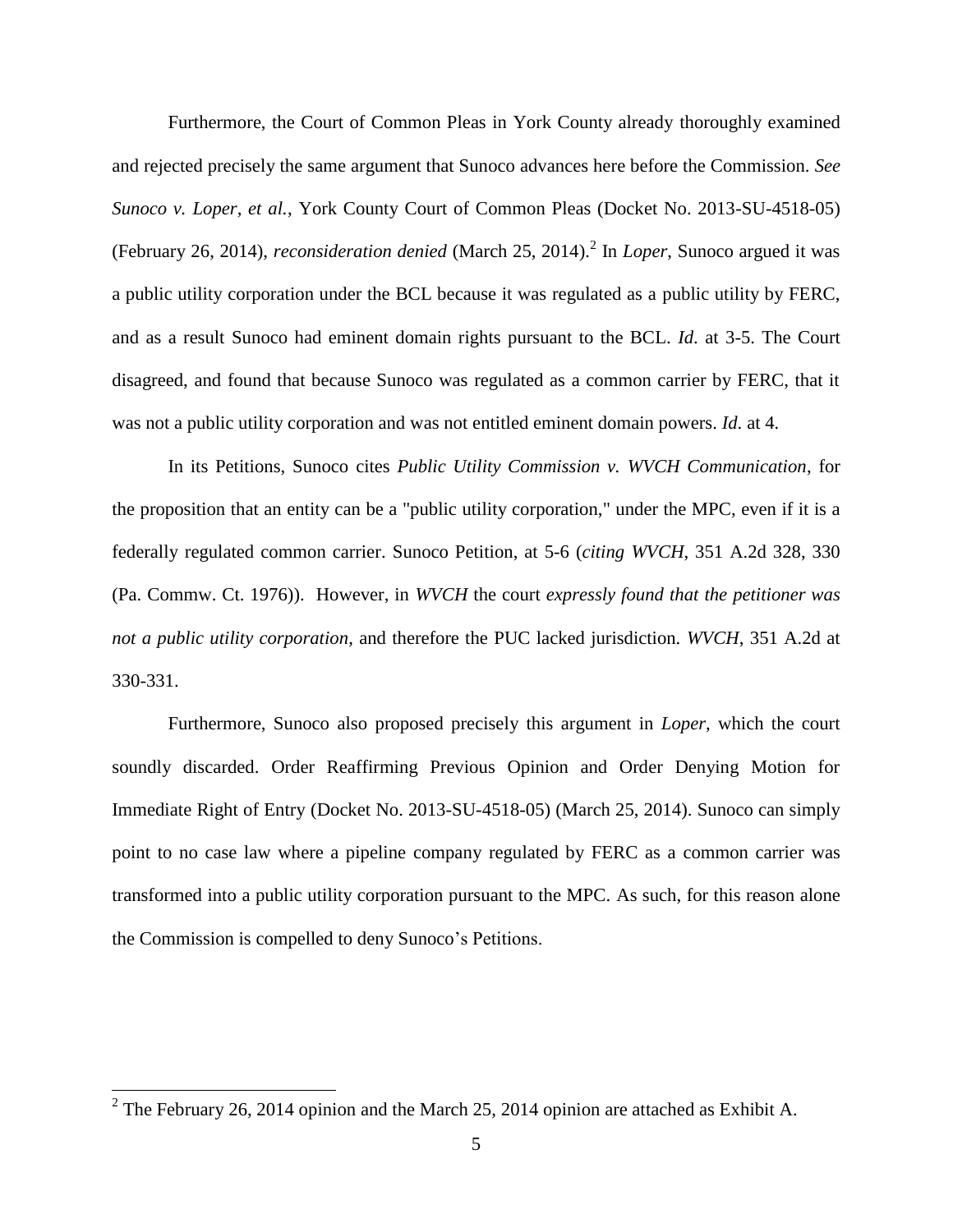Furthermore, the Court of Common Pleas in York County already thoroughly examined and rejected precisely the same argument that Sunoco advances here before the Commission. *See Sunoco v. Loper, et al.*, York County Court of Common Pleas (Docket No. 2013-SU-4518-05) (February 26, 2014), *reconsideration denied* (March 25, 2014). 2 In *Loper*, Sunoco argued it was a public utility corporation under the BCL because it was regulated as a public utility by FERC, and as a result Sunoco had eminent domain rights pursuant to the BCL. *Id*. at 3-5. The Court disagreed, and found that because Sunoco was regulated as a common carrier by FERC, that it was not a public utility corporation and was not entitled eminent domain powers. *Id*. at 4.

In its Petitions, Sunoco cites *Public Utility Commission v. WVCH Communication*, for the proposition that an entity can be a "public utility corporation," under the MPC, even if it is a federally regulated common carrier. Sunoco Petition, at 5-6 (*citing WVCH*, 351 A.2d 328, 330 (Pa. Commw. Ct. 1976)). However, in *WVCH* the court *expressly found that the petitioner was not a public utility corporation*, and therefore the PUC lacked jurisdiction. *WVCH*, 351 A.2d at 330-331.

Furthermore, Sunoco also proposed precisely this argument in *Loper*, which the court soundly discarded. Order Reaffirming Previous Opinion and Order Denying Motion for Immediate Right of Entry (Docket No. 2013-SU-4518-05) (March 25, 2014). Sunoco can simply point to no case law where a pipeline company regulated by FERC as a common carrier was transformed into a public utility corporation pursuant to the MPC. As such, for this reason alone the Commission is compelled to deny Sunoco's Petitions.

<sup>&</sup>lt;sup>2</sup> The February 26, 2014 opinion and the March 25, 2014 opinion are attached as Exhibit A.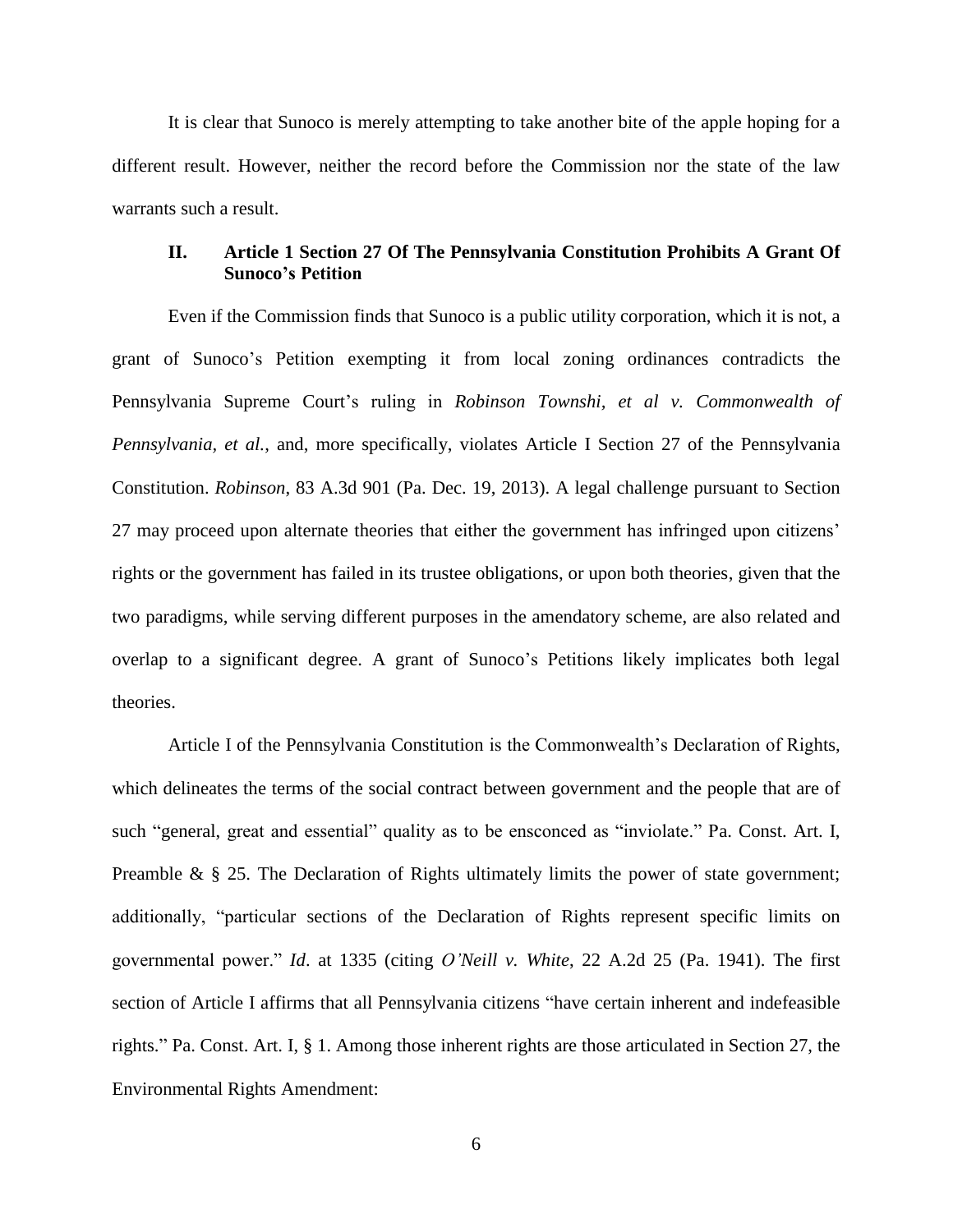It is clear that Sunoco is merely attempting to take another bite of the apple hoping for a different result. However, neither the record before the Commission nor the state of the law warrants such a result.

# **II. Article 1 Section 27 Of The Pennsylvania Constitution Prohibits A Grant Of Sunoco's Petition**

Even if the Commission finds that Sunoco is a public utility corporation, which it is not, a grant of Sunoco's Petition exempting it from local zoning ordinances contradicts the Pennsylvania Supreme Court's ruling in *Robinson Townshi, et al v. Commonwealth of Pennsylvania, et al.*, and, more specifically, violates Article I Section 27 of the Pennsylvania Constitution. *Robinson*, 83 A.3d 901 (Pa. Dec. 19, 2013). A legal challenge pursuant to Section 27 may proceed upon alternate theories that either the government has infringed upon citizens' rights or the government has failed in its trustee obligations, or upon both theories, given that the two paradigms, while serving different purposes in the amendatory scheme, are also related and overlap to a significant degree. A grant of Sunoco's Petitions likely implicates both legal theories.

Article I of the Pennsylvania Constitution is the Commonwealth's Declaration of Rights, which delineates the terms of the social contract between government and the people that are of such "general, great and essential" quality as to be ensconced as "inviolate." Pa. Const. Art. I, Preamble &  $\S$  25. The Declaration of Rights ultimately limits the power of state government; additionally, "particular sections of the Declaration of Rights represent specific limits on governmental power." *Id*. at 1335 (citing *O'Neill v. White*, 22 A.2d 25 (Pa. 1941). The first section of Article I affirms that all Pennsylvania citizens "have certain inherent and indefeasible rights." Pa. Const. Art. I, § 1. Among those inherent rights are those articulated in Section 27, the Environmental Rights Amendment: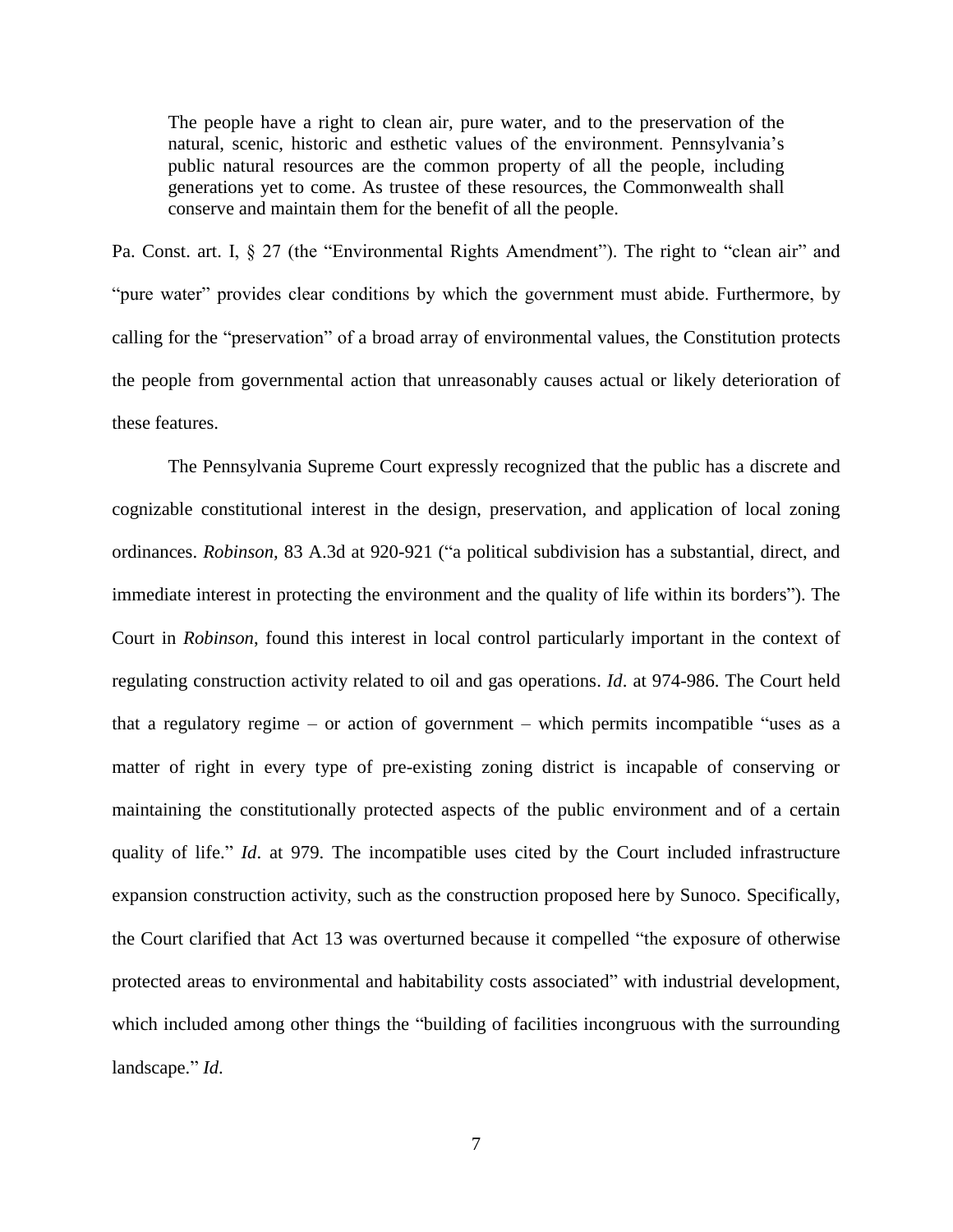The people have a right to clean air, pure water, and to the preservation of the natural, scenic, historic and esthetic values of the environment. Pennsylvania's public natural resources are the common property of all the people, including generations yet to come. As trustee of these resources, the Commonwealth shall conserve and maintain them for the benefit of all the people.

Pa. Const. art. I, § 27 (the "Environmental Rights Amendment"). The right to "clean air" and "pure water" provides clear conditions by which the government must abide. Furthermore, by calling for the "preservation" of a broad array of environmental values, the Constitution protects the people from governmental action that unreasonably causes actual or likely deterioration of these features.

The Pennsylvania Supreme Court expressly recognized that the public has a discrete and cognizable constitutional interest in the design, preservation, and application of local zoning ordinances. *Robinson,* 83 A.3d at 920-921 ("a political subdivision has a substantial, direct, and immediate interest in protecting the environment and the quality of life within its borders"). The Court in *Robinson*, found this interest in local control particularly important in the context of regulating construction activity related to oil and gas operations. *Id*. at 974-986. The Court held that a regulatory regime – or action of government – which permits incompatible "uses as a matter of right in every type of pre-existing zoning district is incapable of conserving or maintaining the constitutionally protected aspects of the public environment and of a certain quality of life." *Id*. at 979. The incompatible uses cited by the Court included infrastructure expansion construction activity, such as the construction proposed here by Sunoco. Specifically, the Court clarified that Act 13 was overturned because it compelled "the exposure of otherwise protected areas to environmental and habitability costs associated" with industrial development, which included among other things the "building of facilities incongruous with the surrounding landscape." *Id*.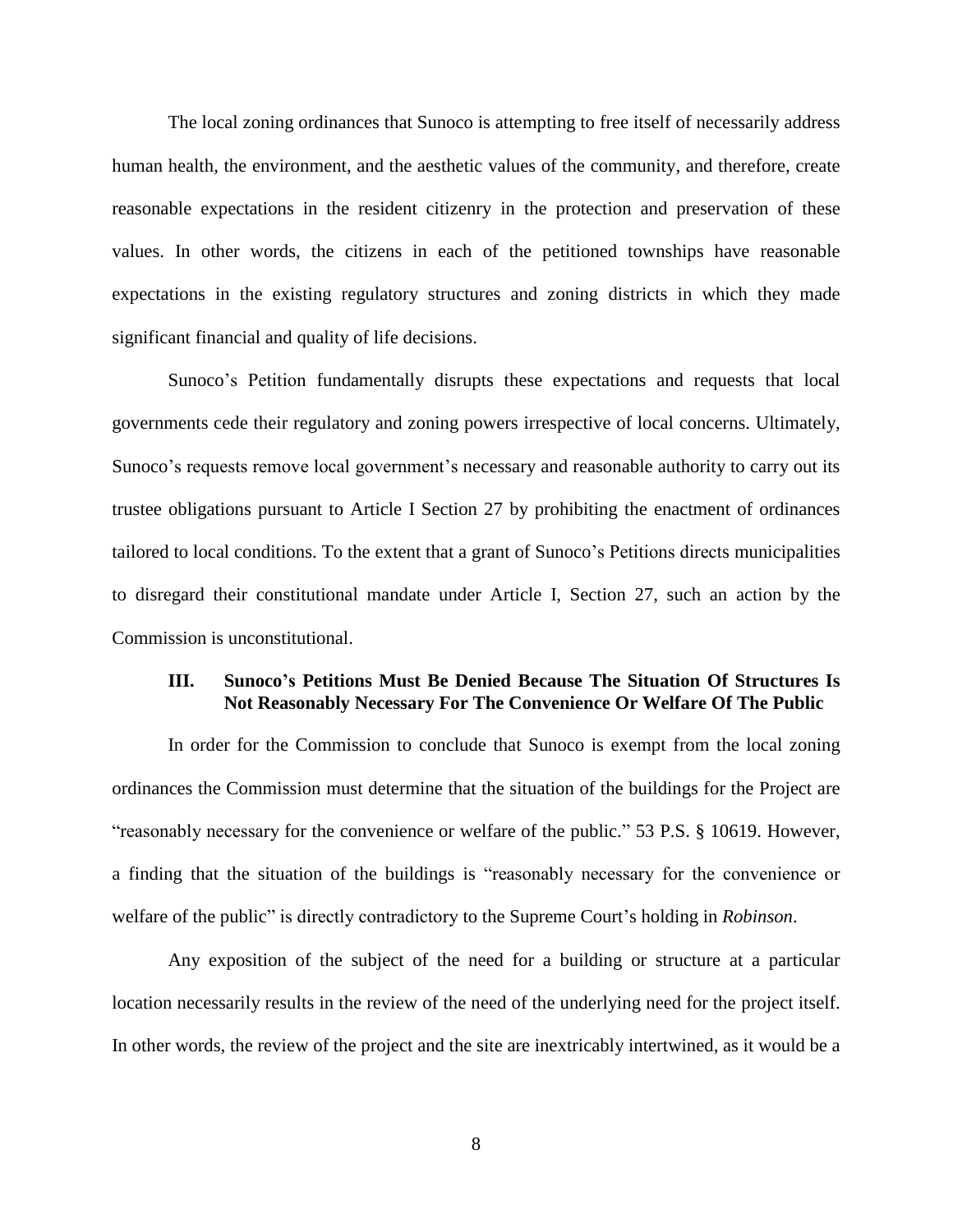The local zoning ordinances that Sunoco is attempting to free itself of necessarily address human health, the environment, and the aesthetic values of the community, and therefore, create reasonable expectations in the resident citizenry in the protection and preservation of these values. In other words, the citizens in each of the petitioned townships have reasonable expectations in the existing regulatory structures and zoning districts in which they made significant financial and quality of life decisions.

Sunoco's Petition fundamentally disrupts these expectations and requests that local governments cede their regulatory and zoning powers irrespective of local concerns. Ultimately, Sunoco's requests remove local government's necessary and reasonable authority to carry out its trustee obligations pursuant to Article I Section 27 by prohibiting the enactment of ordinances tailored to local conditions. To the extent that a grant of Sunoco's Petitions directs municipalities to disregard their constitutional mandate under Article I, Section 27, such an action by the Commission is unconstitutional.

# **III. Sunoco's Petitions Must Be Denied Because The Situation Of Structures Is Not Reasonably Necessary For The Convenience Or Welfare Of The Public**

In order for the Commission to conclude that Sunoco is exempt from the local zoning ordinances the Commission must determine that the situation of the buildings for the Project are "reasonably necessary for the convenience or welfare of the public." 53 P.S. § 10619. However, a finding that the situation of the buildings is "reasonably necessary for the convenience or welfare of the public" is directly contradictory to the Supreme Court's holding in *Robinson*.

Any exposition of the subject of the need for a building or structure at a particular location necessarily results in the review of the need of the underlying need for the project itself. In other words, the review of the project and the site are inextricably intertwined, as it would be a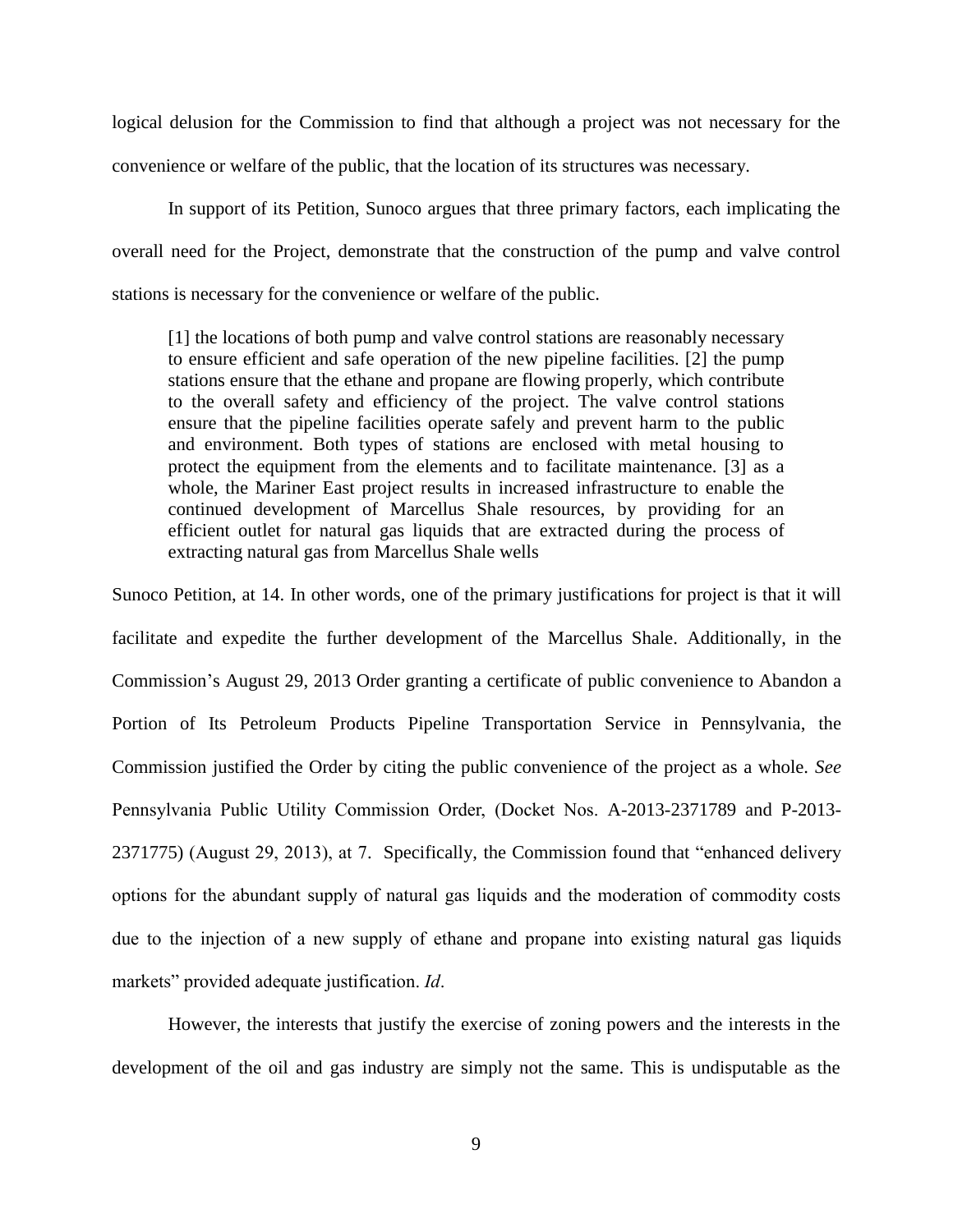logical delusion for the Commission to find that although a project was not necessary for the convenience or welfare of the public, that the location of its structures was necessary.

In support of its Petition, Sunoco argues that three primary factors, each implicating the overall need for the Project, demonstrate that the construction of the pump and valve control stations is necessary for the convenience or welfare of the public.

[1] the locations of both pump and valve control stations are reasonably necessary to ensure efficient and safe operation of the new pipeline facilities. [2] the pump stations ensure that the ethane and propane are flowing properly, which contribute to the overall safety and efficiency of the project. The valve control stations ensure that the pipeline facilities operate safely and prevent harm to the public and environment. Both types of stations are enclosed with metal housing to protect the equipment from the elements and to facilitate maintenance. [3] as a whole, the Mariner East project results in increased infrastructure to enable the continued development of Marcellus Shale resources, by providing for an efficient outlet for natural gas liquids that are extracted during the process of extracting natural gas from Marcellus Shale wells

Sunoco Petition, at 14. In other words, one of the primary justifications for project is that it will facilitate and expedite the further development of the Marcellus Shale. Additionally, in the Commission's August 29, 2013 Order granting a certificate of public convenience to Abandon a Portion of Its Petroleum Products Pipeline Transportation Service in Pennsylvania, the Commission justified the Order by citing the public convenience of the project as a whole. *See* Pennsylvania Public Utility Commission Order, (Docket Nos. A-2013-2371789 and P-2013- 2371775) (August 29, 2013), at 7. Specifically, the Commission found that "enhanced delivery options for the abundant supply of natural gas liquids and the moderation of commodity costs due to the injection of a new supply of ethane and propane into existing natural gas liquids markets" provided adequate justification. *Id*.

However, the interests that justify the exercise of zoning powers and the interests in the development of the oil and gas industry are simply not the same. This is undisputable as the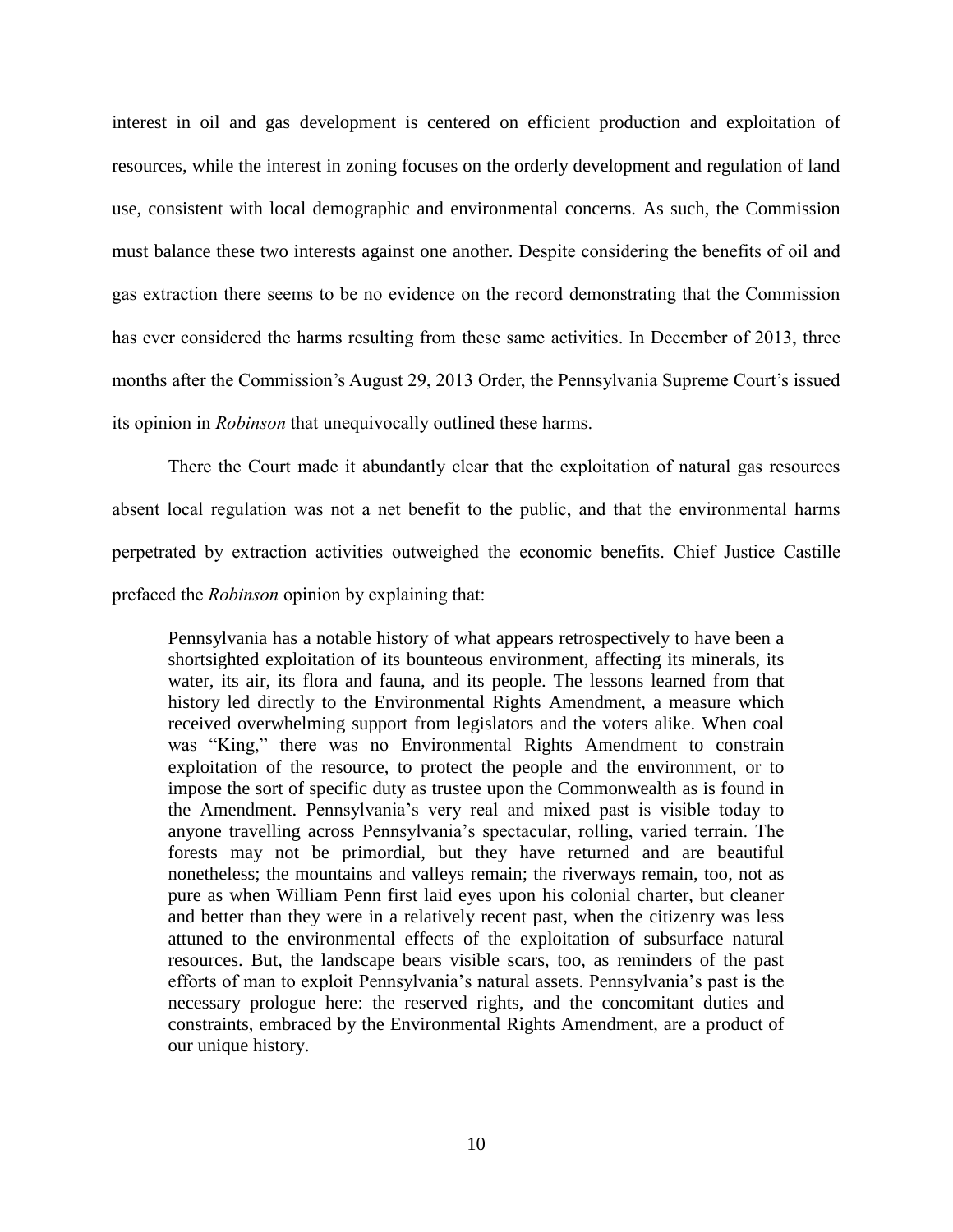interest in oil and gas development is centered on efficient production and exploitation of resources, while the interest in zoning focuses on the orderly development and regulation of land use, consistent with local demographic and environmental concerns. As such, the Commission must balance these two interests against one another. Despite considering the benefits of oil and gas extraction there seems to be no evidence on the record demonstrating that the Commission has ever considered the harms resulting from these same activities. In December of 2013, three months after the Commission's August 29, 2013 Order, the Pennsylvania Supreme Court's issued its opinion in *Robinson* that unequivocally outlined these harms.

There the Court made it abundantly clear that the exploitation of natural gas resources absent local regulation was not a net benefit to the public, and that the environmental harms perpetrated by extraction activities outweighed the economic benefits. Chief Justice Castille prefaced the *Robinson* opinion by explaining that:

Pennsylvania has a notable history of what appears retrospectively to have been a shortsighted exploitation of its bounteous environment, affecting its minerals, its water, its air, its flora and fauna, and its people. The lessons learned from that history led directly to the Environmental Rights Amendment, a measure which received overwhelming support from legislators and the voters alike. When coal was "King," there was no Environmental Rights Amendment to constrain exploitation of the resource, to protect the people and the environment, or to impose the sort of specific duty as trustee upon the Commonwealth as is found in the Amendment. Pennsylvania's very real and mixed past is visible today to anyone travelling across Pennsylvania's spectacular, rolling, varied terrain. The forests may not be primordial, but they have returned and are beautiful nonetheless; the mountains and valleys remain; the riverways remain, too, not as pure as when William Penn first laid eyes upon his colonial charter, but cleaner and better than they were in a relatively recent past, when the citizenry was less attuned to the environmental effects of the exploitation of subsurface natural resources. But, the landscape bears visible scars, too, as reminders of the past efforts of man to exploit Pennsylvania's natural assets. Pennsylvania's past is the necessary prologue here: the reserved rights, and the concomitant duties and constraints, embraced by the Environmental Rights Amendment, are a product of our unique history.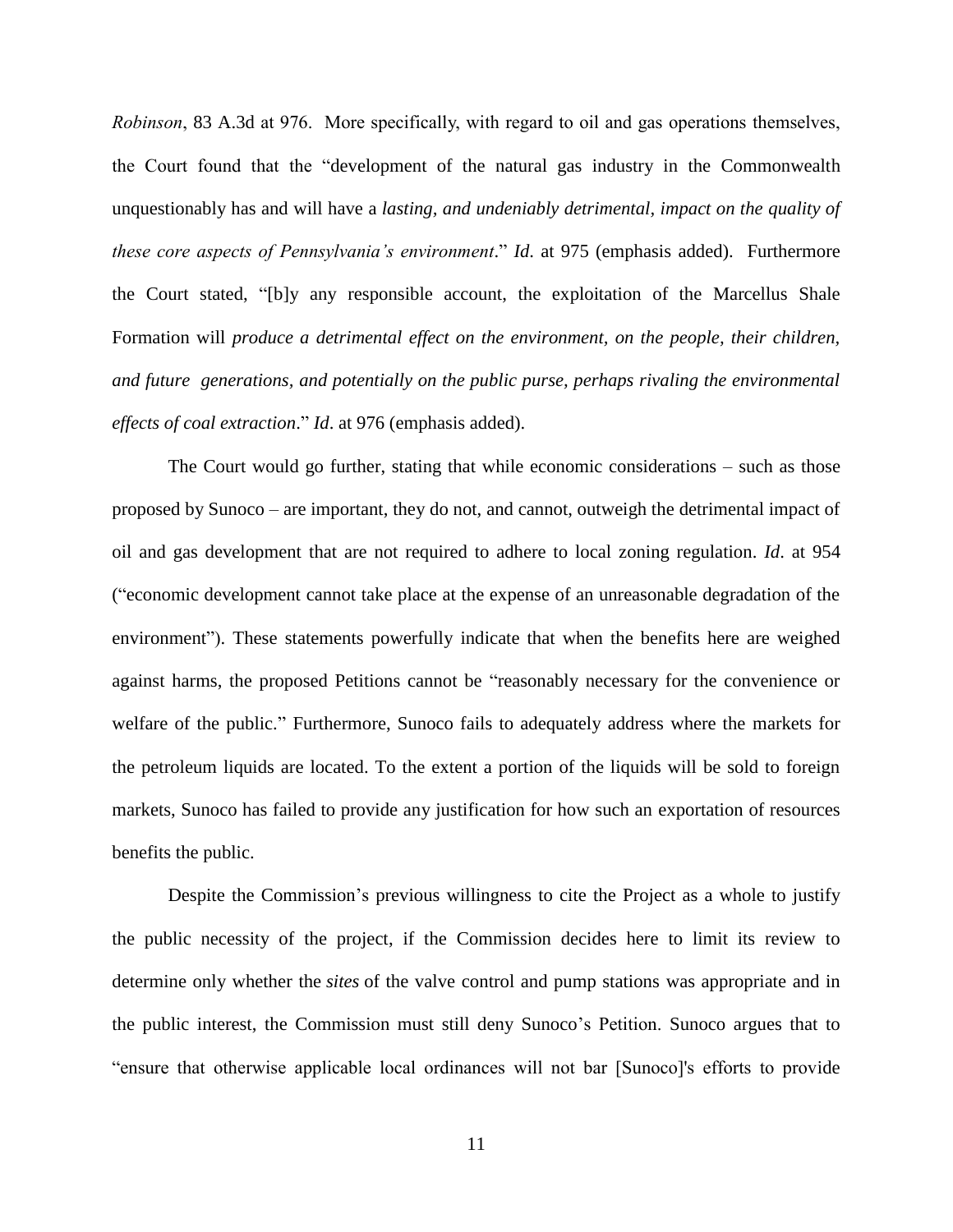*Robinson*, 83 A.3d at 976. More specifically, with regard to oil and gas operations themselves, the Court found that the "development of the natural gas industry in the Commonwealth unquestionably has and will have a *lasting, and undeniably detrimental, impact on the quality of these core aspects of Pennsylvania's environment*." *Id*. at 975 (emphasis added). Furthermore the Court stated, "[b]y any responsible account, the exploitation of the Marcellus Shale Formation will *produce a detrimental effect on the environment, on the people, their children, and future generations, and potentially on the public purse, perhaps rivaling the environmental effects of coal extraction*." *Id*. at 976 (emphasis added).

The Court would go further, stating that while economic considerations – such as those proposed by Sunoco – are important, they do not, and cannot, outweigh the detrimental impact of oil and gas development that are not required to adhere to local zoning regulation. *Id*. at 954 ("economic development cannot take place at the expense of an unreasonable degradation of the environment"). These statements powerfully indicate that when the benefits here are weighed against harms, the proposed Petitions cannot be "reasonably necessary for the convenience or welfare of the public." Furthermore, Sunoco fails to adequately address where the markets for the petroleum liquids are located. To the extent a portion of the liquids will be sold to foreign markets, Sunoco has failed to provide any justification for how such an exportation of resources benefits the public.

Despite the Commission's previous willingness to cite the Project as a whole to justify the public necessity of the project, if the Commission decides here to limit its review to determine only whether the *sites* of the valve control and pump stations was appropriate and in the public interest, the Commission must still deny Sunoco's Petition. Sunoco argues that to "ensure that otherwise applicable local ordinances will not bar [Sunoco]'s efforts to provide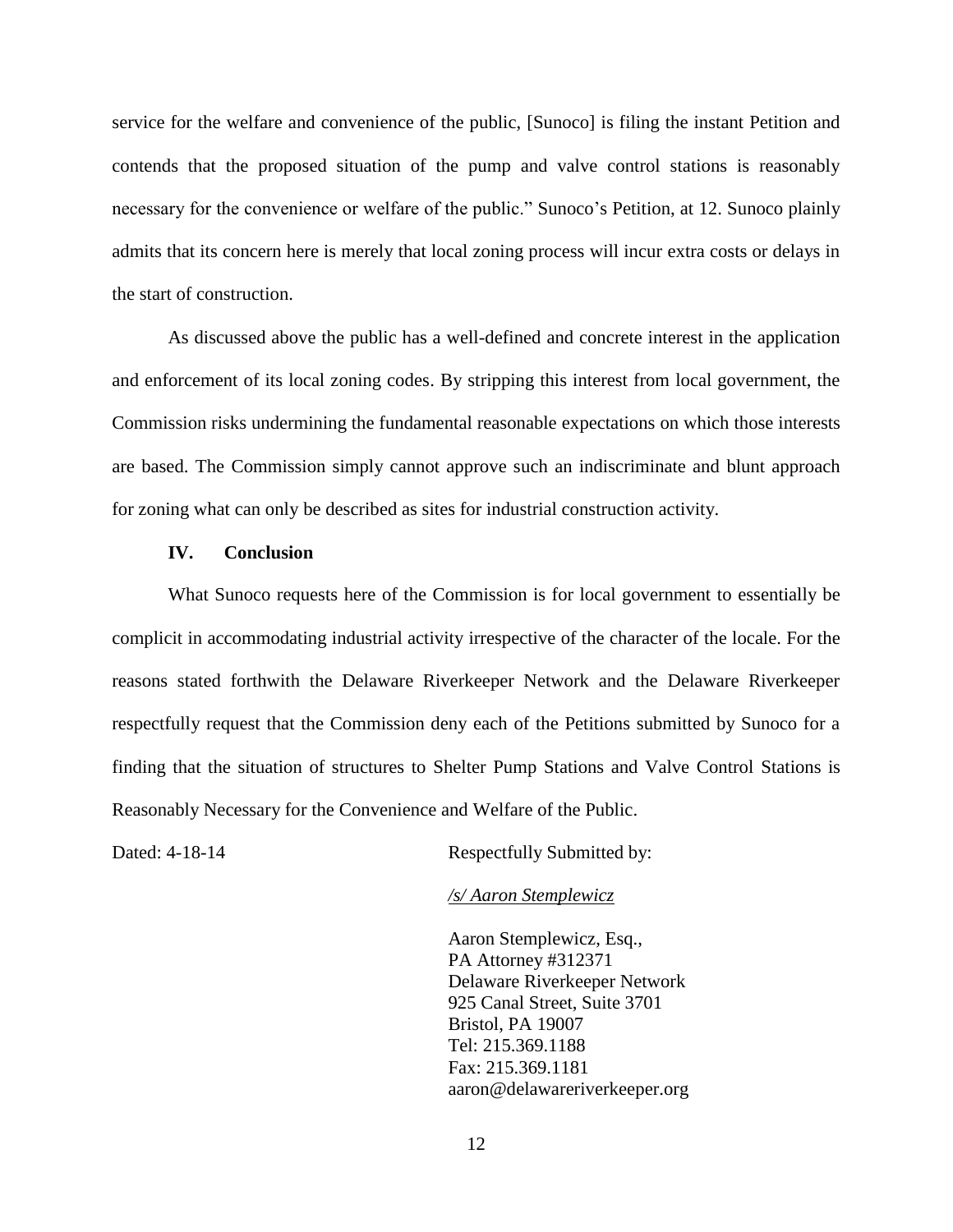service for the welfare and convenience of the public, [Sunoco] is filing the instant Petition and contends that the proposed situation of the pump and valve control stations is reasonably necessary for the convenience or welfare of the public." Sunoco's Petition, at 12. Sunoco plainly admits that its concern here is merely that local zoning process will incur extra costs or delays in the start of construction.

As discussed above the public has a well-defined and concrete interest in the application and enforcement of its local zoning codes. By stripping this interest from local government, the Commission risks undermining the fundamental reasonable expectations on which those interests are based. The Commission simply cannot approve such an indiscriminate and blunt approach for zoning what can only be described as sites for industrial construction activity.

### **IV. Conclusion**

What Sunoco requests here of the Commission is for local government to essentially be complicit in accommodating industrial activity irrespective of the character of the locale. For the reasons stated forthwith the Delaware Riverkeeper Network and the Delaware Riverkeeper respectfully request that the Commission deny each of the Petitions submitted by Sunoco for a finding that the situation of structures to Shelter Pump Stations and Valve Control Stations is Reasonably Necessary for the Convenience and Welfare of the Public.

Dated: 4-18-14 Respectfully Submitted by:

### */s/ Aaron Stemplewicz*

Aaron Stemplewicz, Esq., PA Attorney #312371 Delaware Riverkeeper Network 925 Canal Street, Suite 3701 Bristol, PA 19007 Tel: 215.369.1188 Fax: 215.369.1181 [aaron@delawareriverkeeper.org](mailto:aaron@delawareriverkeeper.org)

12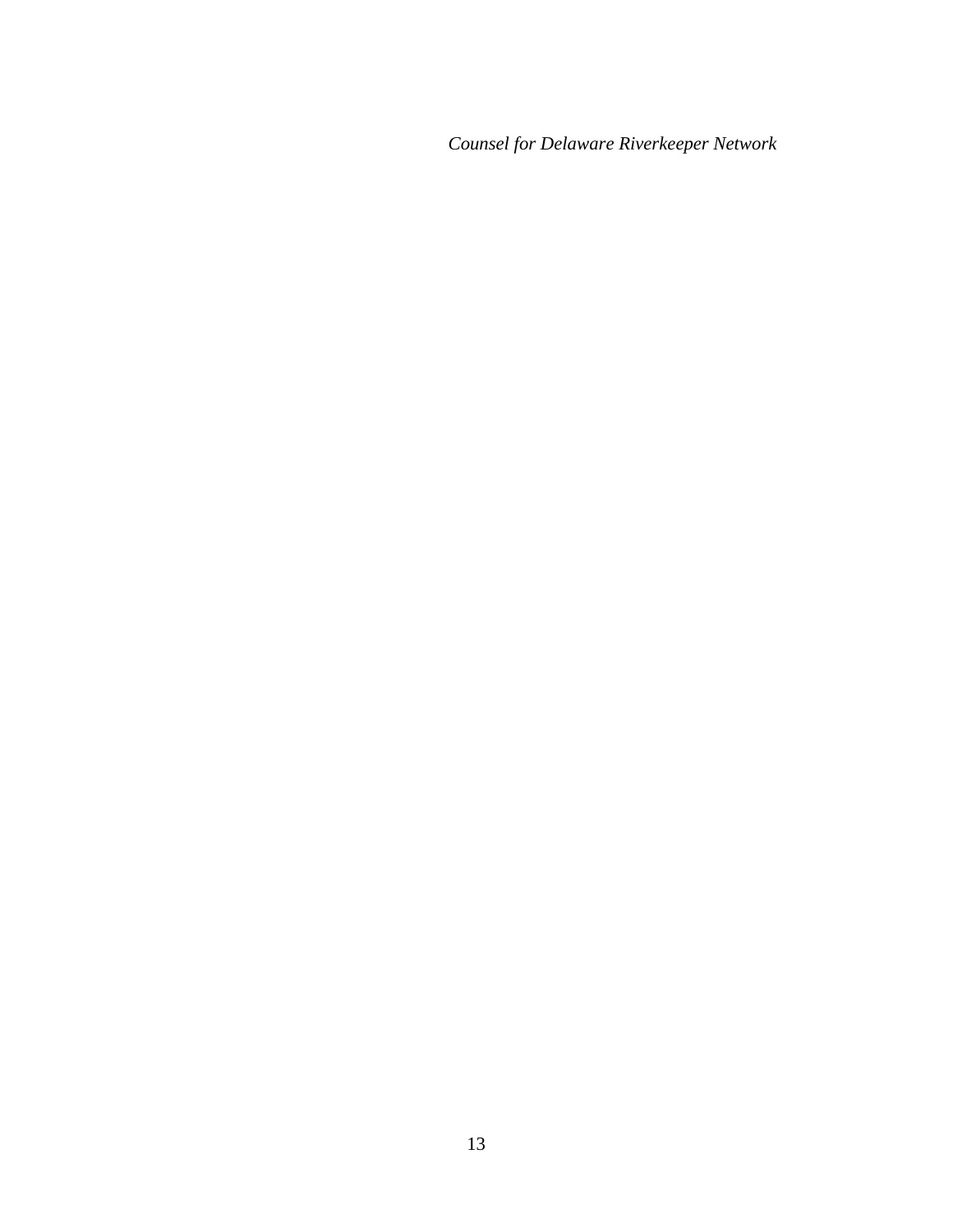*Counsel for Delaware Riverkeeper Network*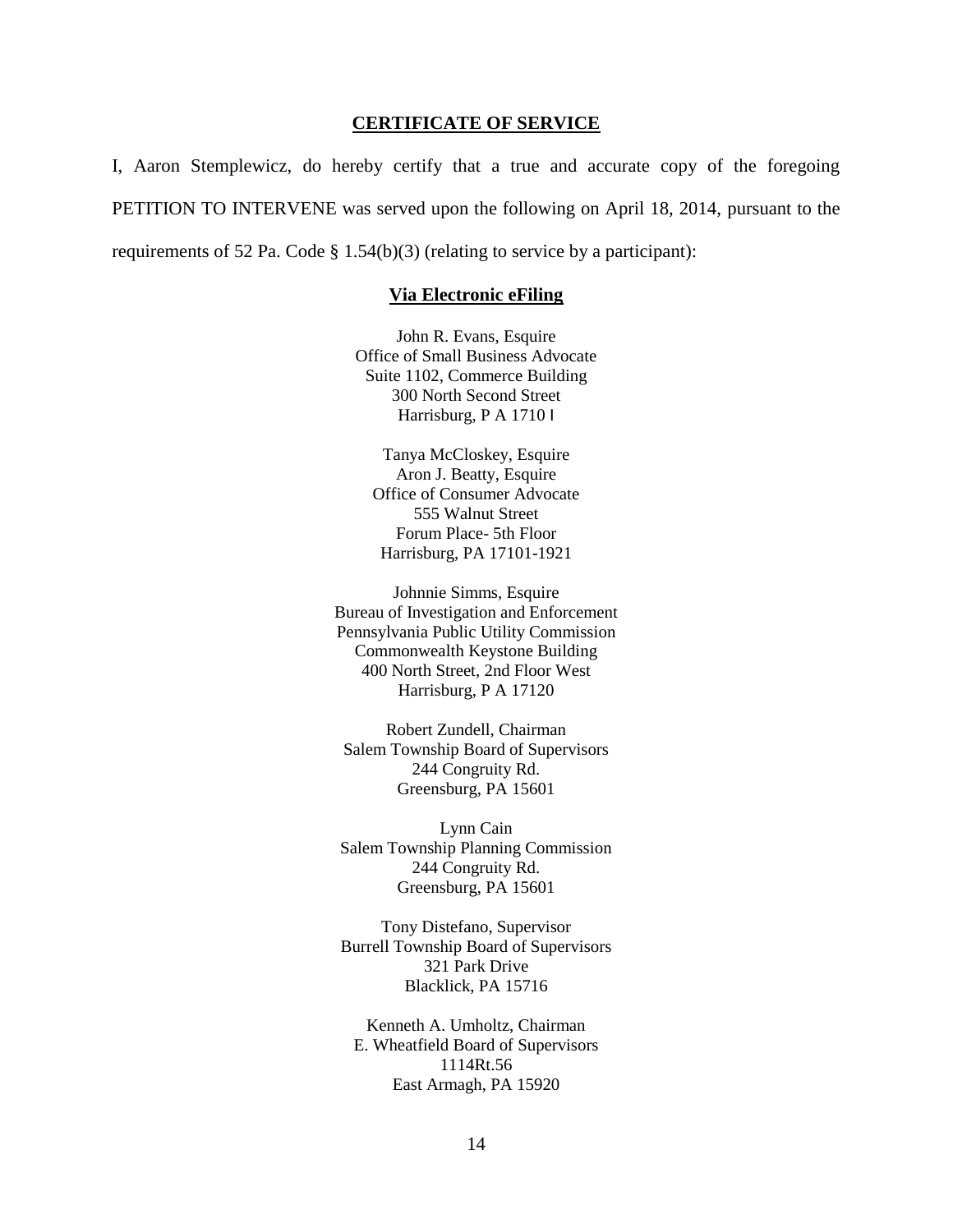### **CERTIFICATE OF SERVICE**

I, Aaron Stemplewicz, do hereby certify that a true and accurate copy of the foregoing PETITION TO INTERVENE was served upon the following on April 18, 2014, pursuant to the requirements of 52 Pa. Code  $\S 1.54(b)(3)$  (relating to service by a participant):

#### **Via Electronic eFiling**

John R. Evans, Esquire Office of Small Business Advocate Suite 1102, Commerce Building 300 North Second Street Harrisburg, P A 1710 I

Tanya McCloskey, Esquire Aron J. Beatty, Esquire Office of Consumer Advocate 555 Walnut Street Forum Place- 5th Floor Harrisburg, PA 17101-1921

Johnnie Simms, Esquire Bureau of Investigation and Enforcement Pennsylvania Public Utility Commission Commonwealth Keystone Building 400 North Street, 2nd Floor West Harrisburg, P A 17120

Robert Zundell, Chairman Salem Township Board of Supervisors 244 Congruity Rd. Greensburg, PA 15601

Lynn Cain Salem Township Planning Commission 244 Congruity Rd. Greensburg, PA 15601

Tony Distefano, Supervisor Burrell Township Board of Supervisors 321 Park Drive Blacklick, PA 15716

Kenneth A. Umholtz, Chairman E. Wheatfield Board of Supervisors 1114Rt.56 East Armagh, PA 15920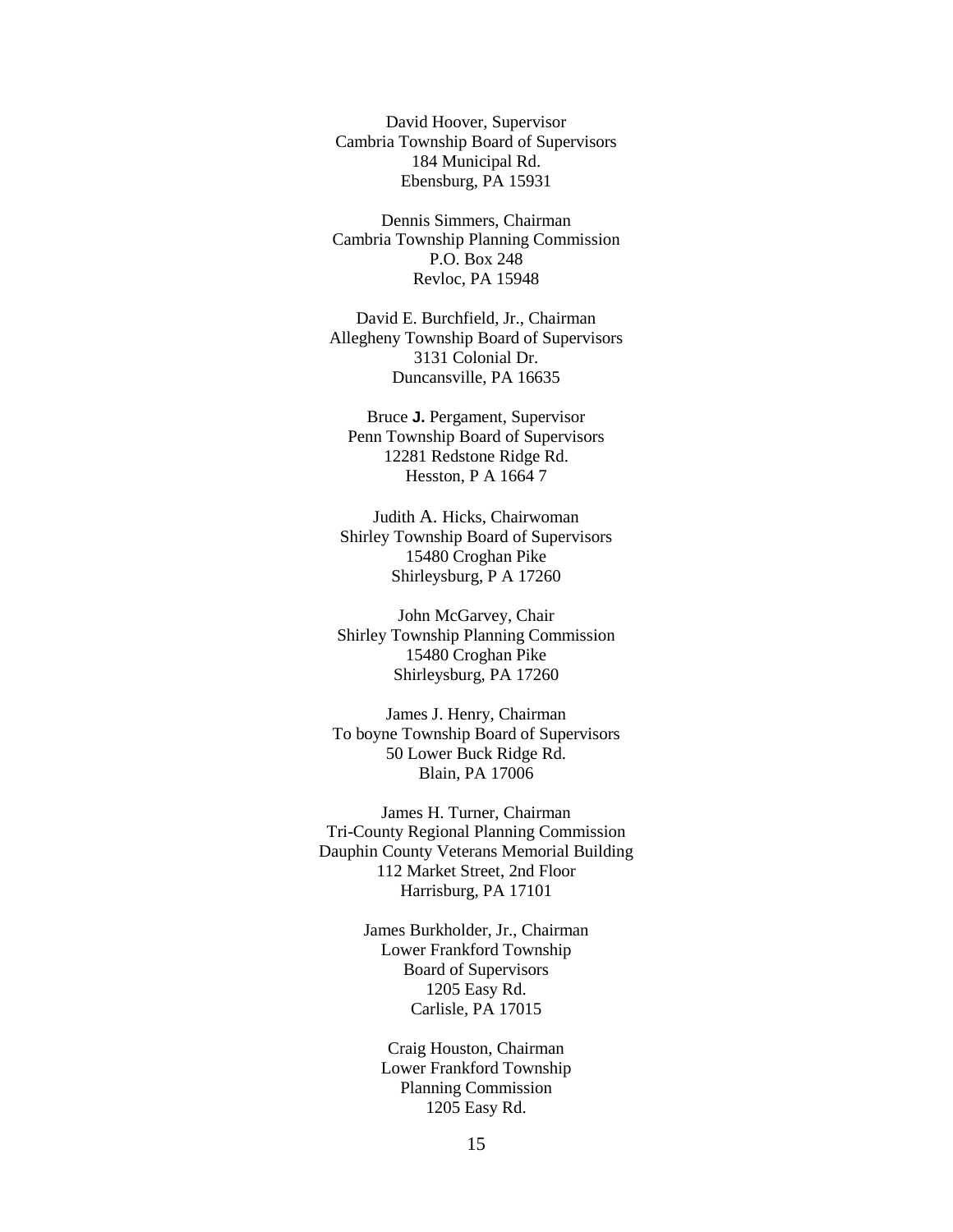David Hoover, Supervisor Cambria Township Board of Supervisors 184 Municipal Rd. Ebensburg, PA 15931

Dennis Simmers, Chairman Cambria Township Planning Commission P.O. Box 248 Revloc, PA 15948

David E. Burchfield, Jr., Chairman Allegheny Township Board of Supervisors 3131 Colonial Dr. Duncansville, PA 16635

Bruce **J.** Pergament, Supervisor Penn Township Board of Supervisors 12281 Redstone Ridge Rd. Hesston, P A 1664 7

Judith A. Hicks, Chairwoman Shirley Township Board of Supervisors 15480 Croghan Pike Shirleysburg, P A 17260

John McGarvey, Chair Shirley Township Planning Commission 15480 Croghan Pike Shirleysburg, PA 17260

James J. Henry, Chairman To boyne Township Board of Supervisors 50 Lower Buck Ridge Rd. Blain, PA 17006

James H. Turner, Chairman Tri-County Regional Planning Commission Dauphin County Veterans Memorial Building 112 Market Street, 2nd Floor Harrisburg, PA 17101

> James Burkholder, Jr., Chairman Lower Frankford Township Board of Supervisors 1205 Easy Rd. Carlisle, PA 17015

Craig Houston, Chairman Lower Frankford Township Planning Commission 1205 Easy Rd.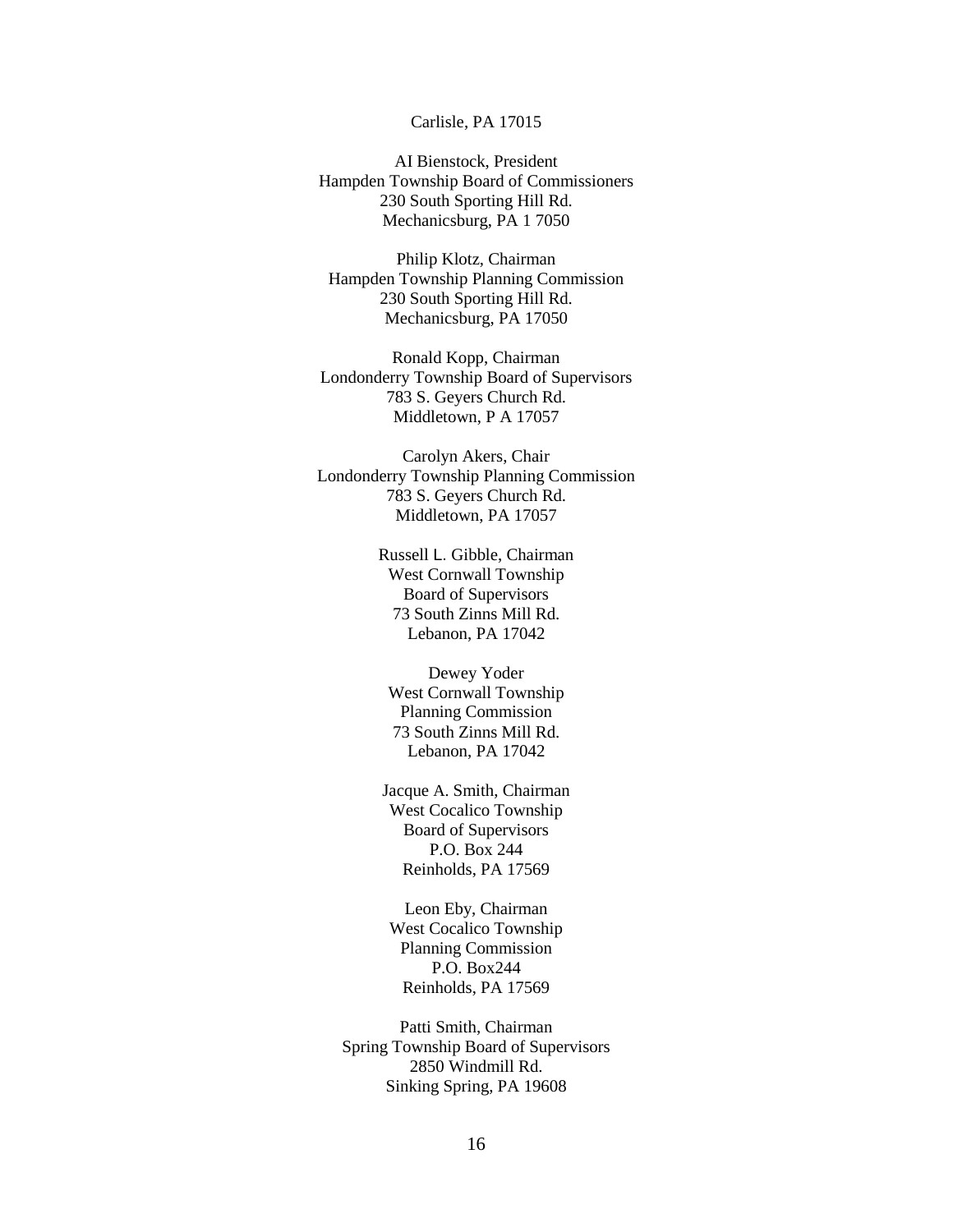### Carlisle, PA 17015

AI Bienstock, President Hampden Township Board of Commissioners 230 South Sporting Hill Rd. Mechanicsburg, PA 1 7050

Philip Klotz, Chairman Hampden Township Planning Commission 230 South Sporting Hill Rd. Mechanicsburg, PA 17050

Ronald Kopp, Chairman Londonderry Township Board of Supervisors 783 S. Geyers Church Rd. Middletown, P A 17057

Carolyn Akers, Chair Londonderry Township Planning Commission 783 S. Geyers Church Rd. Middletown, PA 17057

> Russell L. Gibble, Chairman West Cornwall Township Board of Supervisors 73 South Zinns Mill Rd. Lebanon, PA 17042

Dewey Yoder West Cornwall Township Planning Commission 73 South Zinns Mill Rd. Lebanon, PA 17042

Jacque A. Smith, Chairman West Cocalico Township Board of Supervisors P.O. Box 244 Reinholds, PA 17569

Leon Eby, Chairman West Cocalico Township Planning Commission P.O. Box244 Reinholds, PA 17569

Patti Smith, Chairman Spring Township Board of Supervisors 2850 Windmill Rd. Sinking Spring, PA 19608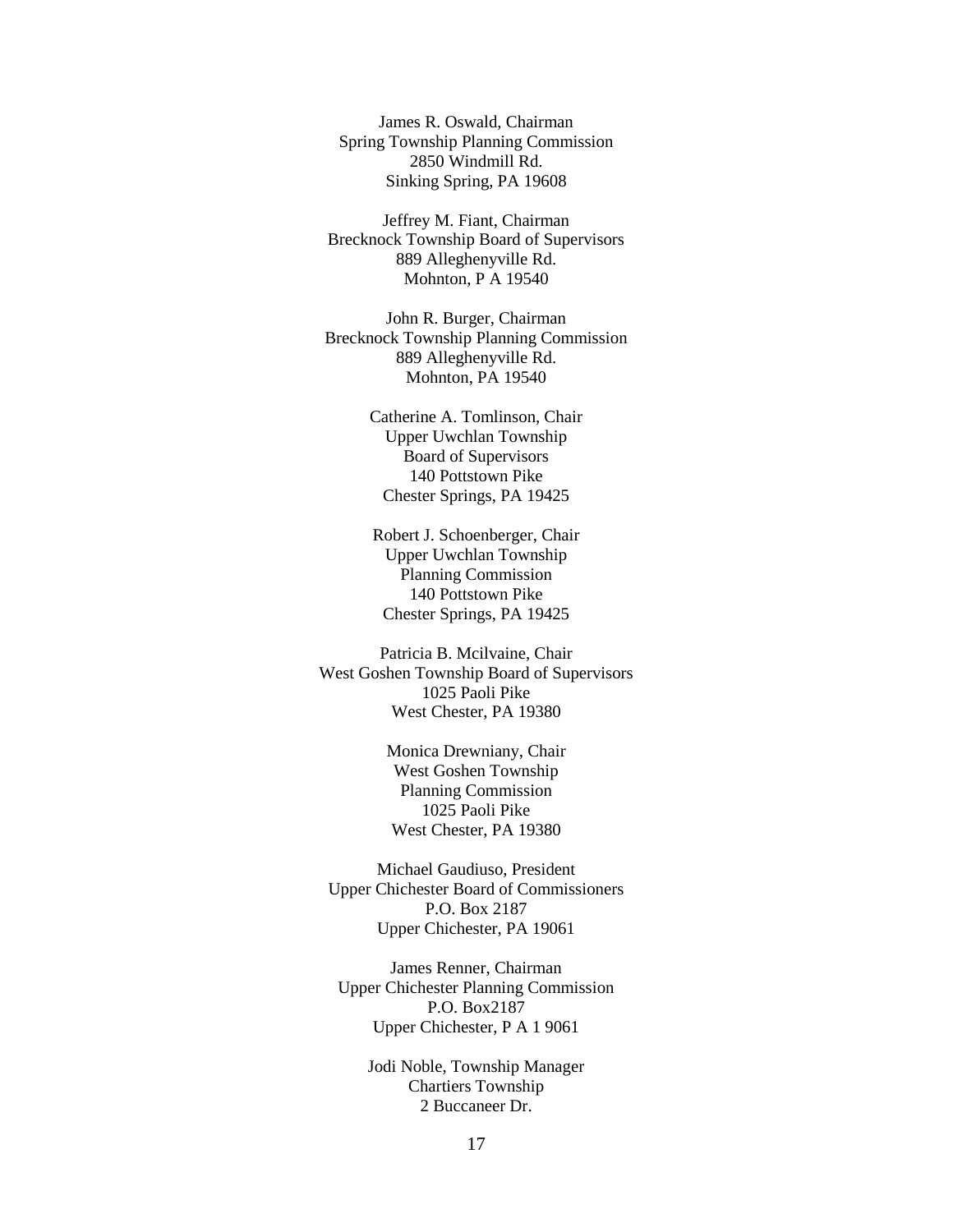James R. Oswald, Chairman Spring Township Planning Commission 2850 Windmill Rd. Sinking Spring, PA 19608

Jeffrey M. Fiant, Chairman Brecknock Township Board of Supervisors 889 Alleghenyville Rd. Mohnton, P A 19540

John R. Burger, Chairman Brecknock Township Planning Commission 889 Alleghenyville Rd. Mohnton, PA 19540

> Catherine A. Tomlinson, Chair Upper Uwchlan Township Board of Supervisors 140 Pottstown Pike Chester Springs, PA 19425

Robert J. Schoenberger, Chair Upper Uwchlan Township Planning Commission 140 Pottstown Pike Chester Springs, PA 19425

Patricia B. Mcilvaine, Chair West Goshen Township Board of Supervisors 1025 Paoli Pike West Chester, PA 19380

> Monica Drewniany, Chair West Goshen Township Planning Commission 1025 Paoli Pike West Chester, PA 19380

Michael Gaudiuso, President Upper Chichester Board of Commissioners P.O. Box 2187 Upper Chichester, PA 19061

James Renner, Chairman Upper Chichester Planning Commission P.O. Box2187 Upper Chichester, P A 1 9061

Jodi Noble, Township Manager Chartiers Township 2 Buccaneer Dr.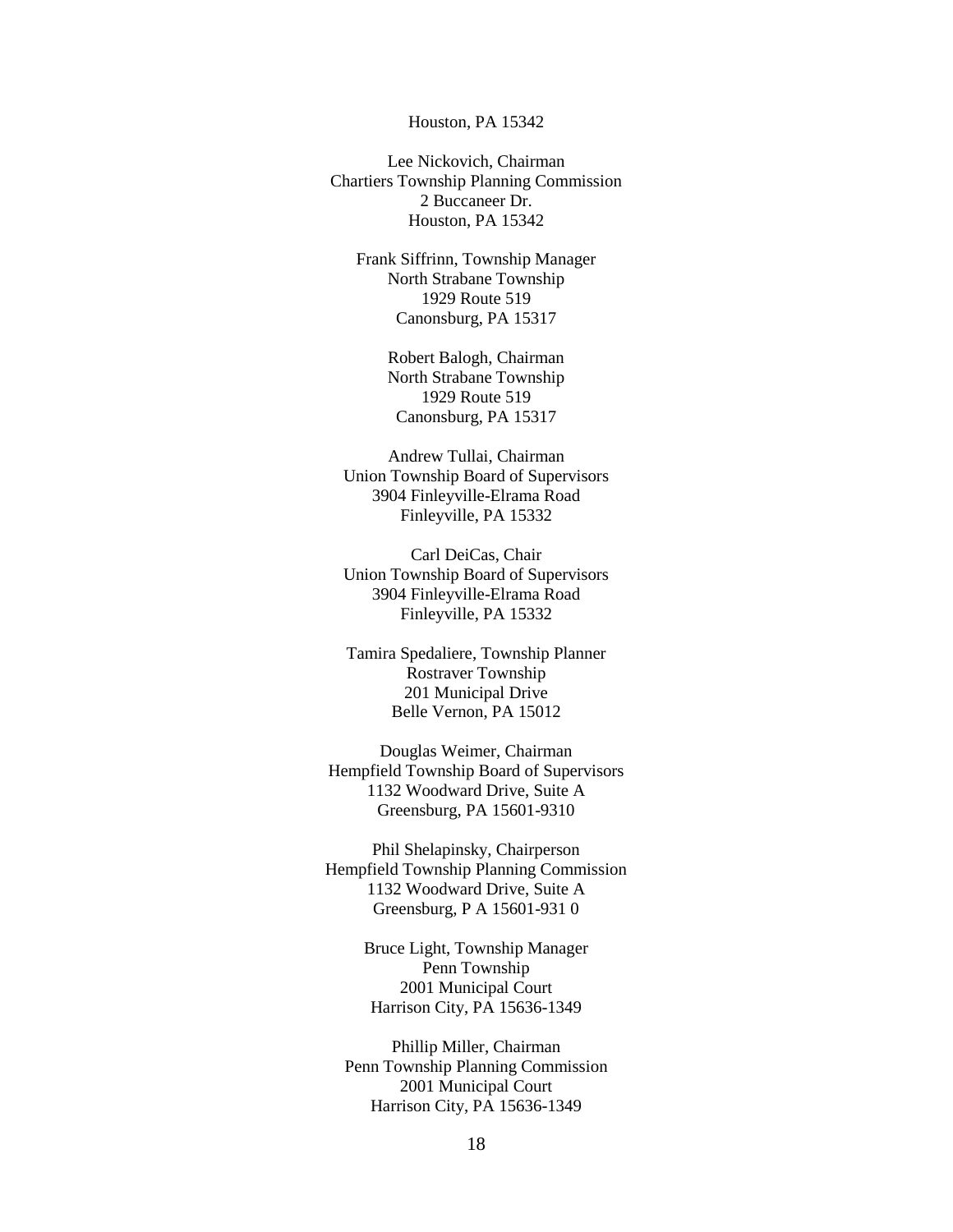#### Houston, PA 15342

Lee Nickovich, Chairman Chartiers Township Planning Commission 2 Buccaneer Dr. Houston, PA 15342

Frank Siffrinn, Township Manager North Strabane Township 1929 Route 519 Canonsburg, PA 15317

> Robert Balogh, Chairman North Strabane Township 1929 Route 519 Canonsburg, PA 15317

Andrew Tullai, Chairman Union Township Board of Supervisors 3904 Finleyville-Elrama Road Finleyville, PA 15332

Carl DeiCas, Chair Union Township Board of Supervisors 3904 Finleyville-Elrama Road Finleyville, PA 15332

Tamira Spedaliere, Township Planner Rostraver Township 201 Municipal Drive Belle Vernon, PA 15012

Douglas Weimer, Chairman Hempfield Township Board of Supervisors 1132 Woodward Drive, Suite A Greensburg, PA 15601-9310

Phil Shelapinsky, Chairperson Hempfield Township Planning Commission 1132 Woodward Drive, Suite A Greensburg, P A 15601-931 0

> Bruce Light, Township Manager Penn Township 2001 Municipal Court Harrison City, PA 15636-1349

Phillip Miller, Chairman Penn Township Planning Commission 2001 Municipal Court Harrison City, PA 15636-1349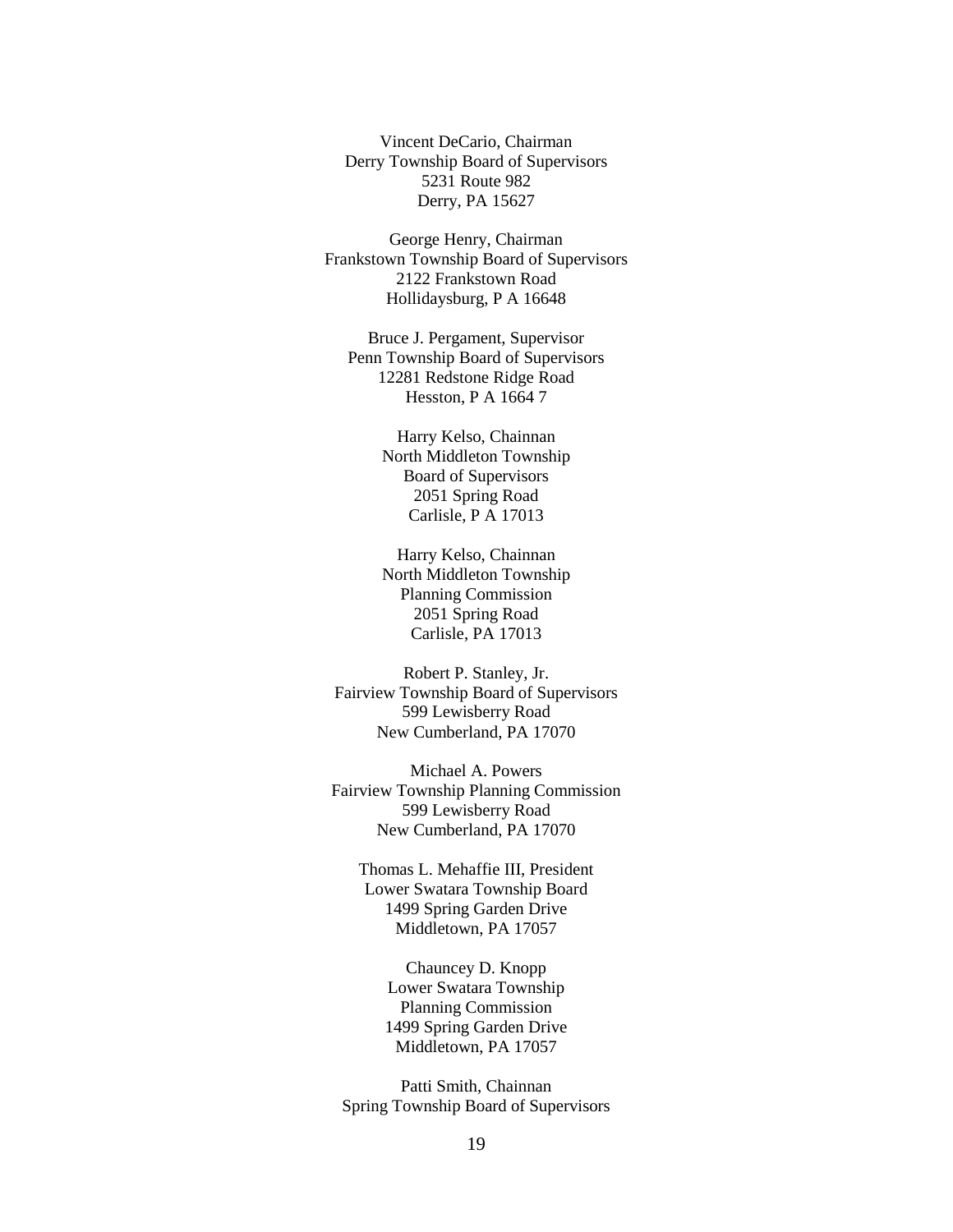Vincent DeCario, Chairman Derry Township Board of Supervisors 5231 Route 982 Derry, PA 15627

George Henry, Chairman Frankstown Township Board of Supervisors 2122 Frankstown Road Hollidaysburg, P A 16648

Bruce J. Pergament, Supervisor Penn Township Board of Supervisors 12281 Redstone Ridge Road Hesston, P A 1664 7

> Harry Kelso, Chainnan North Middleton Township Board of Supervisors 2051 Spring Road Carlisle, P A 17013

> Harry Kelso, Chainnan North Middleton Township Planning Commission 2051 Spring Road Carlisle, PA 17013

Robert P. Stanley, Jr. Fairview Township Board of Supervisors 599 Lewisberry Road New Cumberland, PA 17070

Michael A. Powers Fairview Township Planning Commission 599 Lewisberry Road New Cumberland, PA 17070

Thomas L. Mehaffie III, President Lower Swatara Township Board 1499 Spring Garden Drive Middletown, PA 17057

> Chauncey D. Knopp Lower Swatara Township Planning Commission 1499 Spring Garden Drive Middletown, PA 17057

Patti Smith, Chainnan Spring Township Board of Supervisors